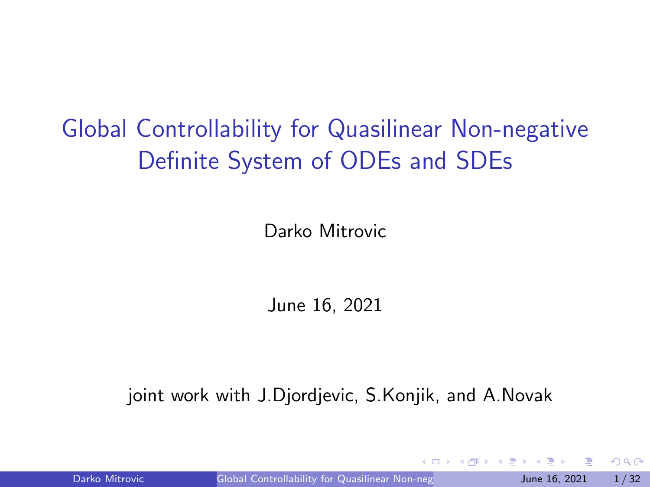# <span id="page-0-0"></span>Global Controllability for Quasilinear Non-negative Definite System of ODEs and SDEs

Darko Mitrovic

June 16, 2021

joint work with J.Djordjevic, S.Konjik, and A.Novak

Darko Mitrovic Global Controllability for Quasilinear Non-neg June 16, 2021 1/32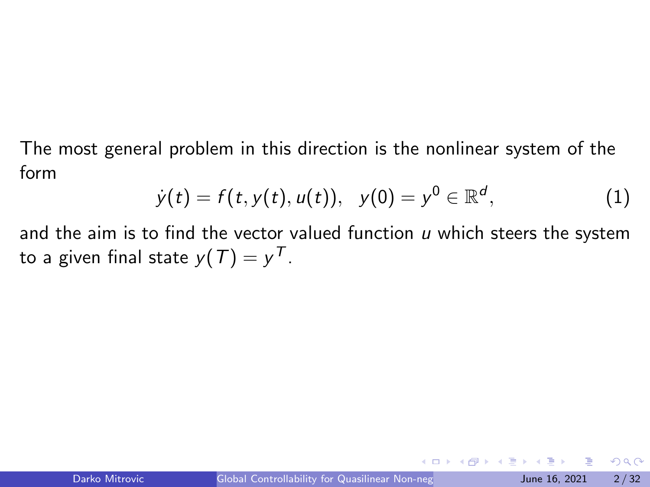The most general problem in this direction is the nonlinear system of the form

<span id="page-1-0"></span>
$$
\dot{y}(t) = f(t, y(t), u(t)), \quad y(0) = y^0 \in \mathbb{R}^d, \tag{1}
$$

and the aim is to find the vector valued function  *which steers the system* to a given final state  $y(\mathcal{T}) = y^{\mathcal{T}}$ .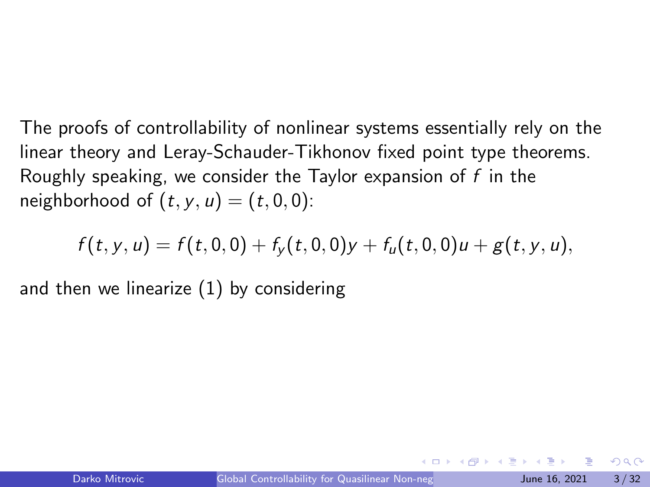The proofs of controllability of nonlinear systems essentially rely on the linear theory and Leray-Schauder-Tikhonov fixed point type theorems. Roughly speaking, we consider the Taylor expansion of  $f$  in the neighborhood of  $(t, y, u) = (t, 0, 0)$ :

$$
f(t,y,u)=f(t,0,0)+f_y(t,0,0)y+f_u(t,0,0)u+g(t,y,u),
$$

and then we linearize [\(1\)](#page-1-0) by considering

 $\Omega$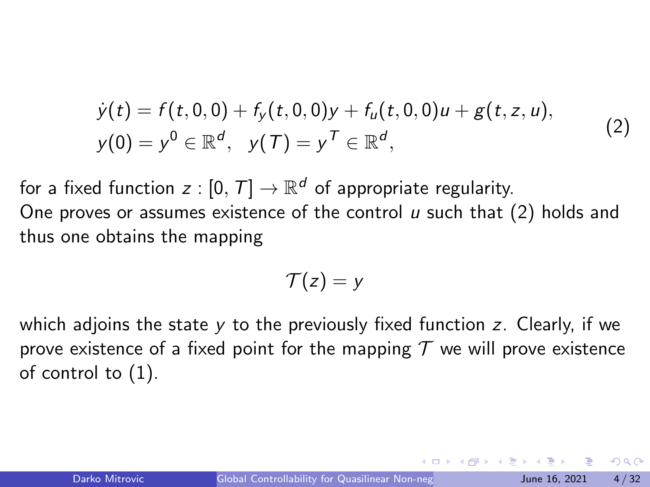$$
\dot{y}(t) = f(t,0,0) + f_y(t,0,0)y + f_u(t,0,0)u + g(t,z,u),
$$
  
\n
$$
y(0) = y^0 \in \mathbb{R}^d, \quad y(T) = y^T \in \mathbb{R}^d,
$$
\n(2)

<span id="page-3-0"></span>for a fixed function  $z: [0,\, \mathcal{T}] \rightarrow \mathbb{R}^d$  of appropriate regularity. One proves or assumes existence of the control  $\mu$  such that [\(2\)](#page-3-0) holds and thus one obtains the mapping

$$
\mathcal{T}(z)=y
$$

which adjoins the state y to the previously fixed function z. Clearly, if we prove existence of a fixed point for the mapping  $\mathcal T$  we will prove existence of control to [\(1\)](#page-1-0).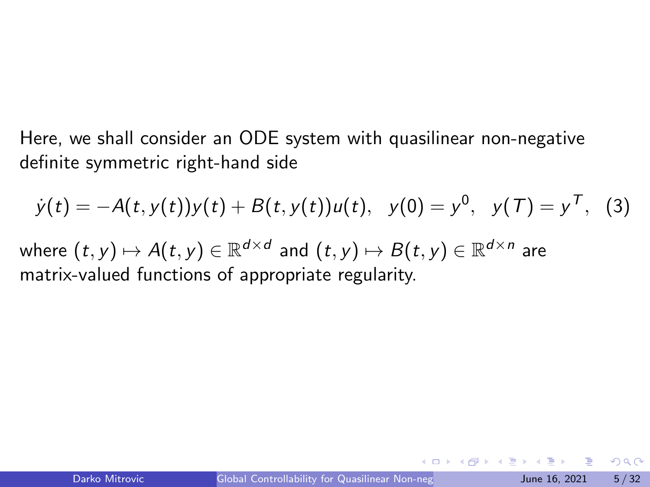Here, we shall consider an ODE system with quasilinear non-negative definite symmetric right-hand side

$$
\dot{y}(t) = -A(t, y(t))y(t) + B(t, y(t))u(t), \quad y(0) = y^0, \quad y(T) = y^T, \quad (3)
$$

where  $(t,y)\mapsto A(t,y)\in \mathbb{R}^{d\times d}$  and  $(t,y)\mapsto B(t,y)\in \mathbb{R}^{d\times n}$  are matrix-valued functions of appropriate regularity.

 $\Omega$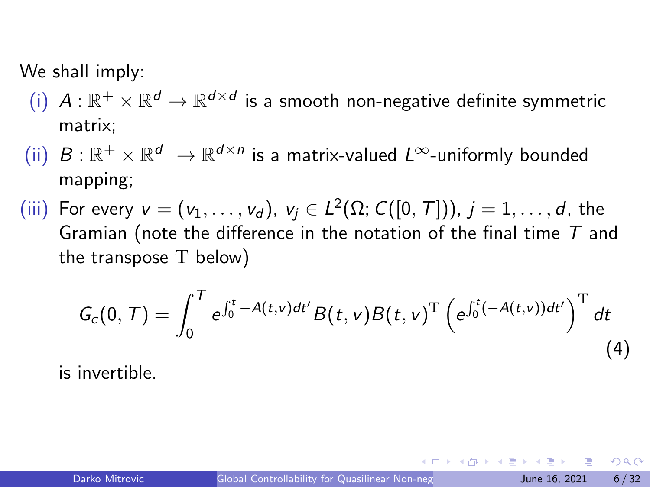We shall imply:

- $(\mathfrak{i})$   $A:\mathbb{R}^+\times\mathbb{R}^d\to\mathbb{R}^{d\times d}$  is a smooth non-negative definite symmetric matrix;
- (ii)  $B:\mathbb{R}^+\times\mathbb{R}^d\ \to\mathbb{R}^{d\times n}$  is a matrix-valued  $L^\infty$ -uniformly bounded mapping;
- (iii) For every  $v = (v_1, \ldots, v_d)$ ,  $v_j \in L^2(\Omega; C([0, T])), j = 1, \ldots, d$ , the Gramian (note the difference in the notation of the final time  $T$  and the transpose T below)

$$
G_c(0, T) = \int_0^T e^{\int_0^t -A(t, v) dt'} B(t, v) B(t, v)^T \left( e^{\int_0^t (-A(t, v)) dt'} \right)^T dt
$$
\n(4)

is invertible.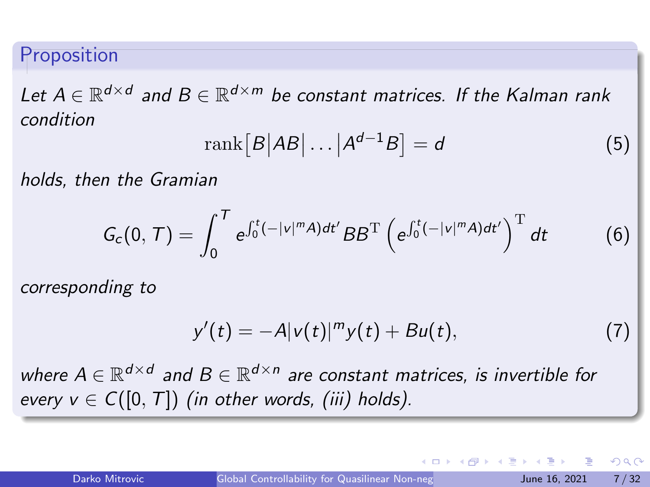#### Proposition

Let  $A \in \mathbb{R}^{d \times d}$  and  $B \in \mathbb{R}^{d \times m}$  be constant matrices. If the Kalman rank condition

$$
rank[B|AB|\dots|A^{d-1}B] = d \tag{5}
$$

holds, then the Gramian

$$
G_c(0, T) = \int_0^T e^{\int_0^t (-|v|^m A) dt'} BB^{\mathrm{T}} \left( e^{\int_0^t (-|v|^m A) dt'} \right)^{\mathrm{T}} dt \tag{6}
$$

corresponding to

$$
y'(t) = -A|v(t)|^{m}y(t) + Bu(t),
$$
 (7)

where  $A \in \mathbb{R}^{d \times d}$  and  $B \in \mathbb{R}^{d \times n}$  are constant matrices, is invertible for every  $v \in C([0, T])$  (in other words, (iii) holds).

KOD KAP KED KED E VAA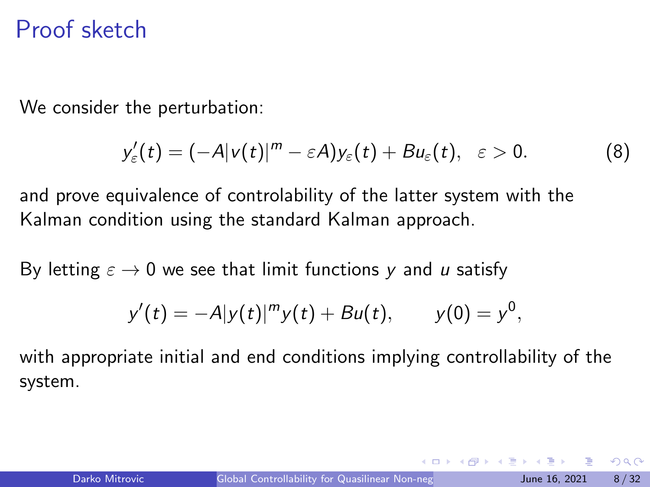#### Proof sketch

We consider the perturbation:

$$
y'_{\varepsilon}(t) = (-A|v(t)|^{m} - \varepsilon A)y_{\varepsilon}(t) + Bu_{\varepsilon}(t), \quad \varepsilon > 0.
$$
 (8)

and prove equivalence of controlability of the latter system with the Kalman condition using the standard Kalman approach.

By letting  $\varepsilon \to 0$  we see that limit functions y and u satisfy

$$
y'(t) = -A|y(t)|^m y(t) + Bu(t), \qquad y(0) = y^0,
$$

with appropriate initial and end conditions implying controllability of the system.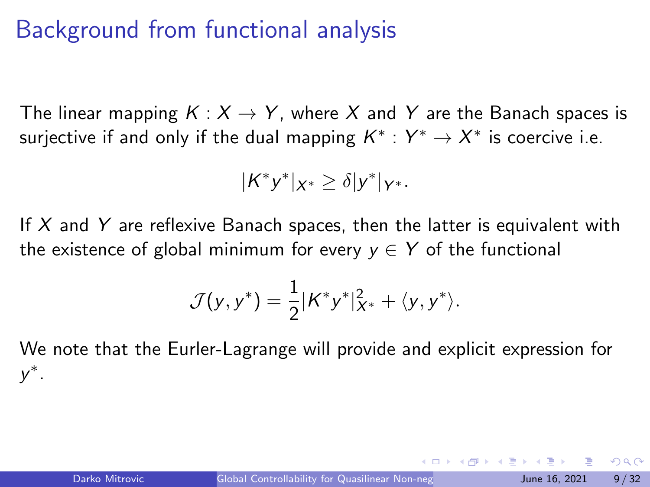### Background from functional analysis

The linear mapping  $K: X \rightarrow Y$ , where X and Y are the Banach spaces is surjective if and only if the dual mapping  $\mathcal{K}^*: Y^* \to X^*$  is coercive i.e.

$$
|K^*y^*|_{X^*}\geq \delta|y^*|_{Y^*}.
$$

If  $X$  and  $Y$  are reflexive Banach spaces, then the latter is equivalent with the existence of global minimum for every  $y \in Y$  of the functional

$$
\mathcal{J}(y,y^*)=\frac{1}{2}|K^*y^*|_{X^*}^2+\langle y,y^*\rangle.
$$

We note that the Eurler-Lagrange will provide and explicit expression for y ∗ .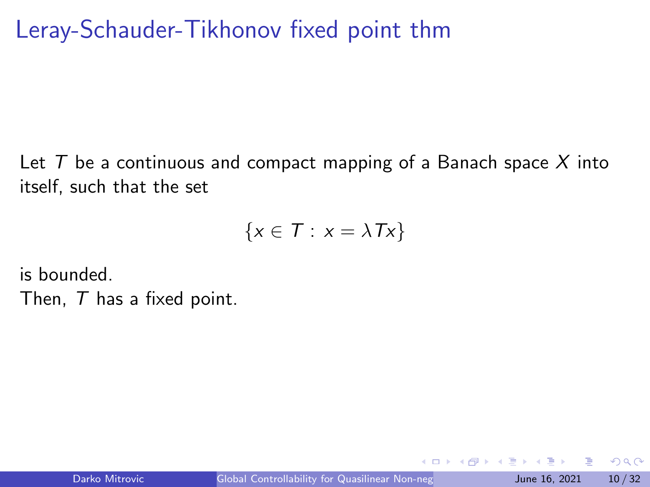## Leray-Schauder-Tikhonov fixed point thm

Let  $T$  be a continuous and compact mapping of a Banach space  $X$  into itself, such that the set

$$
\{x \in T : x = \lambda Tx\}
$$

is bounded.

Then, T has a fixed point.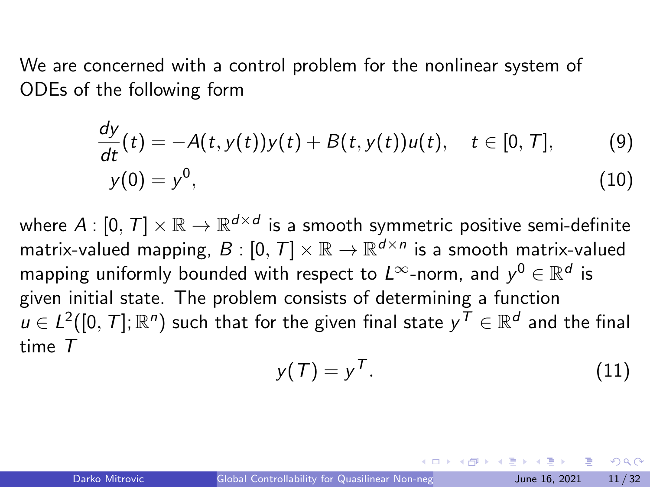We are concerned with a control problem for the nonlinear system of ODEs of the following form

$$
\frac{dy}{dt}(t) = -A(t, y(t))y(t) + B(t, y(t))u(t), \quad t \in [0, T],
$$
\n(9)  
\n
$$
y(0) = y^0,
$$
\n(10)

where  $A:[0,\,T]\times\mathbb{R}\rightarrow\mathbb{R}^{d\times d}$  is a smooth symmetric positive semi-definite matrix-valued mapping,  $B: [0,T] \times \mathbb{R} \to \mathbb{R}^{d \times n}$  is a smooth matrix-valued mapping uniformly bounded with respect to  $L^\infty$ -norm, and  $y^0\in\mathbb{R}^d$  is given initial state. The problem consists of determining a function  $u \in L^2([0,\,T];\mathbb{R}^n)$  such that for the given final state  $y^{\mathcal{T}} \in \mathbb{R}^d$  and the final time T

$$
y(T) = y^T.
$$
 (11)

<span id="page-10-0"></span> $\Omega$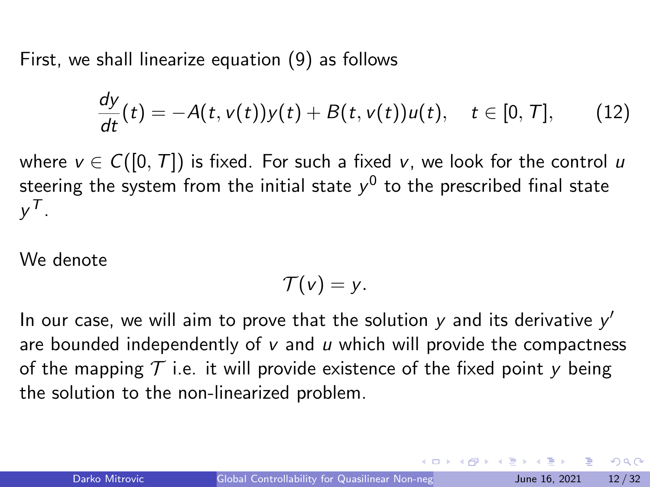First, we shall linearize equation [\(9\)](#page-10-0) as follows

<span id="page-11-0"></span>
$$
\frac{dy}{dt}(t)=-A(t,v(t))y(t)+B(t,v(t))u(t),\quad t\in[0,T],\qquad(12)
$$

where  $v \in C([0, T])$  is fixed. For such a fixed v, we look for the control u steering the system from the initial state  $y^0$  to the prescribed final state  $y^{\mathcal{T}}$  .

We denote

$$
\mathcal{T}(v)=y.
$$

In our case, we will aim to prove that the solution  $y$  and its derivative  $y'$ are bounded independently of  $v$  and  $u$  which will provide the compactness of the mapping  $\mathcal T$  i.e. it will provide existence of the fixed point y being the solution to the non-linearized problem.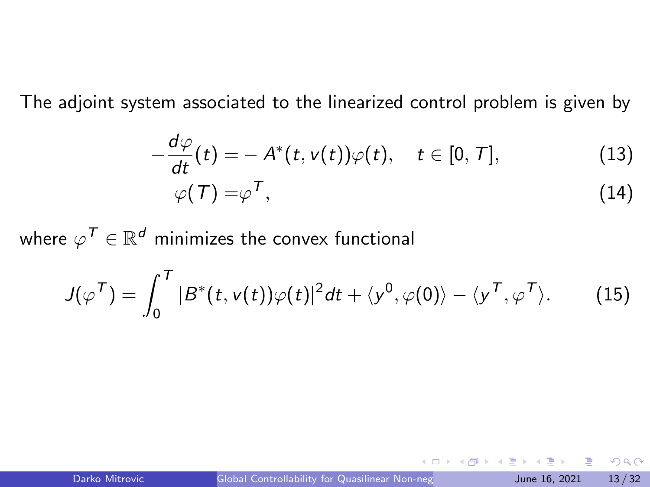The adjoint system associated to the linearized control problem is given by

$$
-\frac{d\varphi}{dt}(t) = -A^*(t, v(t))\varphi(t), \quad t \in [0, T],
$$
\n
$$
\varphi(T) = \varphi^T,
$$
\n(13)

where  $\varphi^{\mathcal{T}} \in \mathbb{R}^d$  minimizes the convex functional

$$
J(\varphi^{\mathcal{T}}) = \int_0^{\mathcal{T}} |B^*(t, v(t))\varphi(t)|^2 dt + \langle y^0, \varphi(0) \rangle - \langle y^{\mathcal{T}}, \varphi^{\mathcal{T}} \rangle. \tag{15}
$$

目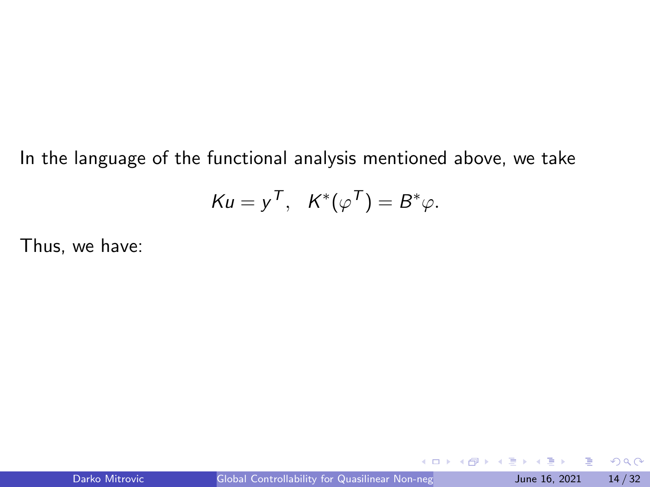In the language of the functional analysis mentioned above, we take

$$
Ku = y^T, \quad K^*(\varphi^T) = B^*\varphi.
$$

Thus, we have:

4日下

э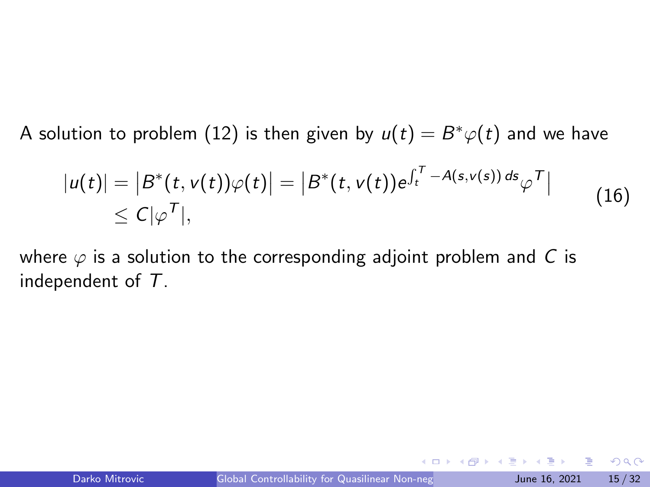A solution to problem  $(12)$  is then given by  $u(t)=B^*\varphi(t)$  and we have

$$
|u(t)| = |B^*(t, v(t))\varphi(t)| = |B^*(t, v(t))e^{\int_t^T -A(s,v(s))ds}\varphi^T|
$$
  
\$\leq C|\varphi^T|\$,

<span id="page-14-0"></span>where  $\varphi$  is a solution to the corresponding adjoint problem and C is independent of T.

目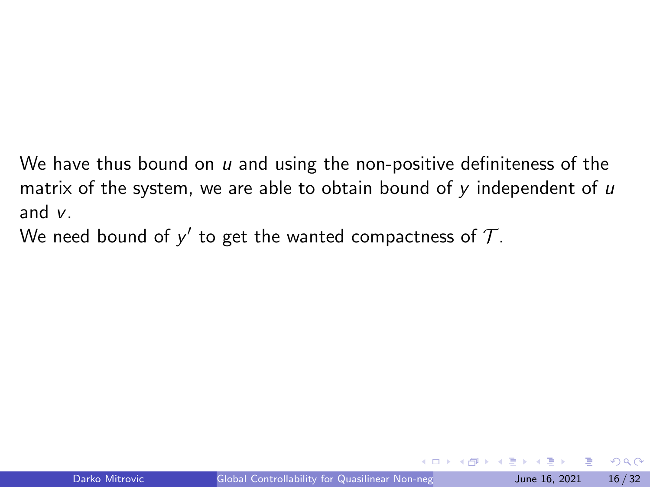We have thus bound on  $u$  and using the non-positive definiteness of the matrix of the system, we are able to obtain bound of  $y$  independent of  $u$ and v.

We need bound of  $y'$  to get the wanted compactness of  $\mathcal{T}.$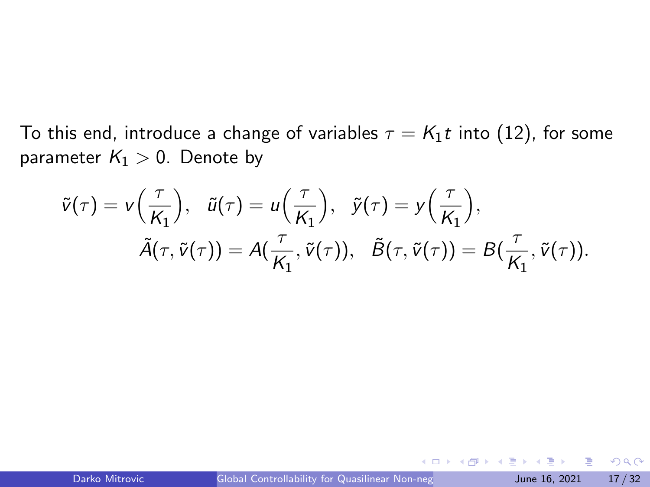To this end, introduce a change of variables  $\tau = K_1 t$  into [\(12\)](#page-11-0), for some parameter  $K_1 > 0$ . Denote by

$$
\tilde{v}(\tau) = v\left(\frac{\tau}{K_1}\right), \quad \tilde{u}(\tau) = u\left(\frac{\tau}{K_1}\right), \quad \tilde{y}(\tau) = y\left(\frac{\tau}{K_1}\right), \n\tilde{A}(\tau, \tilde{v}(\tau)) = A(\frac{\tau}{K_1}, \tilde{v}(\tau)), \quad \tilde{B}(\tau, \tilde{v}(\tau)) = B(\frac{\tau}{K_1}, \tilde{v}(\tau)).
$$

4 0 8

- ∢ 舟 ▶ → ∃

э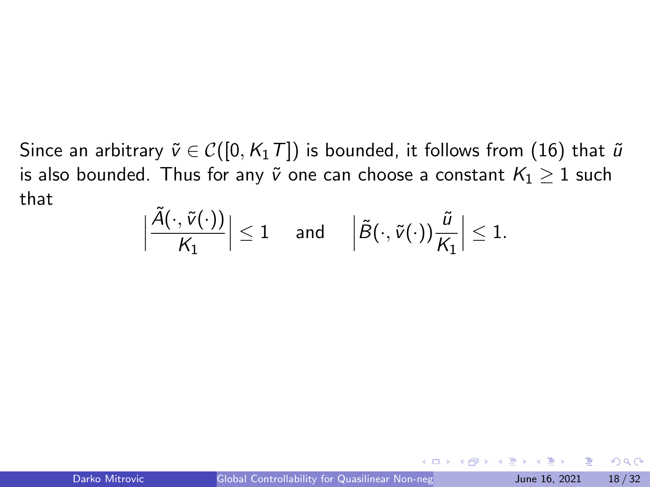Since an arbitrary  $\tilde{v} \in \mathcal{C}([0, K_1T])$  is bounded, it follows from [\(16\)](#page-14-0) that  $\tilde{u}$ is also bounded. Thus for any  $\tilde{v}$  one can choose a constant  $K_1 \geq 1$  such that

$$
\Big|\frac{\tilde{A}(\cdot,\tilde{v}(\cdot))}{\mathcal{K}_1}\Big|\leq 1\quad\text{ and }\quad \Big|\tilde{B}(\cdot,\tilde{v}(\cdot))\frac{\tilde{u}}{\mathcal{K}_1}\Big|\leq 1.
$$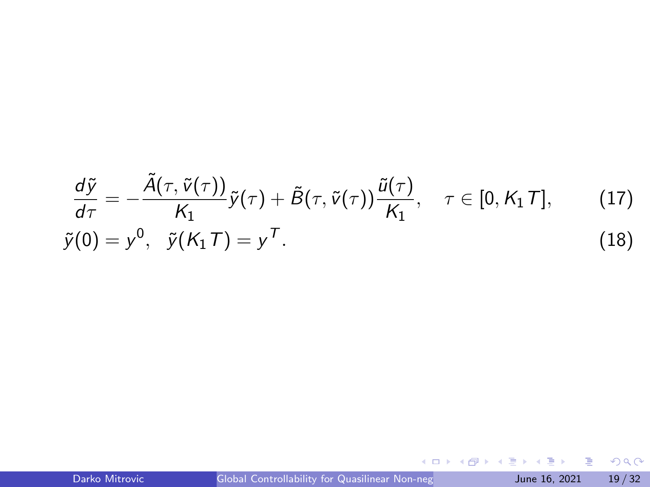<span id="page-18-1"></span>
$$
\frac{d\tilde{y}}{d\tau} = -\frac{\tilde{A}(\tau, \tilde{v}(\tau))}{K_1} \tilde{y}(\tau) + \tilde{B}(\tau, \tilde{v}(\tau)) \frac{\tilde{u}(\tau)}{K_1}, \quad \tau \in [0, K_1 T], \quad (17)
$$
  

$$
\tilde{y}(0) = y^0, \quad \tilde{y}(K_1 T) = y^T.
$$

<span id="page-18-0"></span>**Kロト K個 K K ミト K ミト 「ミ」 の Q (^**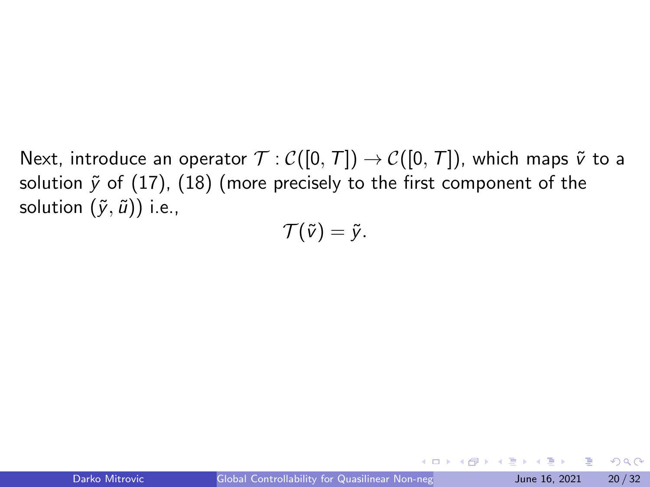Next, introduce an operator  $\mathcal{T} : \mathcal{C}([0, T]) \to \mathcal{C}([0, T])$ , which maps  $\tilde{v}$  to a solution  $\tilde{y}$  of [\(17\)](#page-18-0), [\(18\)](#page-18-1) (more precisely to the first component of the solution  $(\tilde{y}, \tilde{u})$ ) i.e.,

$$
\mathcal{T}(\tilde{v})=\tilde{y}.
$$

目

 $QQ$ 

イロト イ押ト イヨト イヨト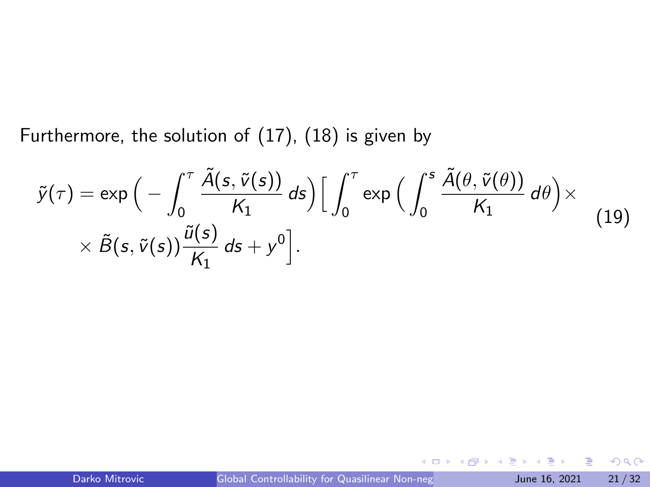Furthermore, the solution of [\(17\)](#page-18-0), [\(18\)](#page-18-1) is given by

$$
\tilde{y}(\tau) = \exp\Big(-\int_0^{\tau} \frac{\tilde{A}(s, \tilde{v}(s))}{K_1} ds\Big) \Big[\int_0^{\tau} \exp\Big(\int_0^s \frac{\tilde{A}(\theta, \tilde{v}(\theta))}{K_1} d\theta\Big) \times \\ \times \tilde{B}(s, \tilde{v}(s)) \frac{\tilde{u}(s)}{K_1} ds + y^0\Big].
$$
\n(19)

4 0 8

造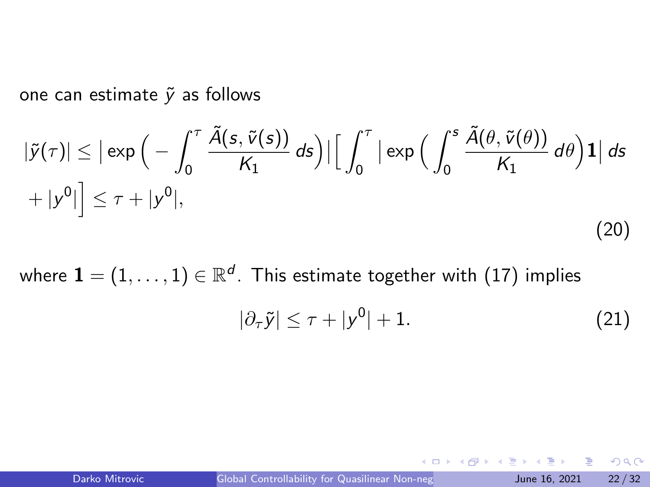one can estimate  $\tilde{y}$  as follows

<span id="page-21-0"></span>
$$
|\tilde{y}(\tau)| \le |\exp\Big(-\int_0^\tau \frac{\tilde{A}(s, \tilde{v}(s))}{K_1} ds\Big)| \Big[\int_0^\tau |\exp\Big(\int_0^s \frac{\tilde{A}(\theta, \tilde{v}(\theta))}{K_1} d\theta\Big) \mathbf{1}|\,ds + |y^0| \Big] \le \tau + |y^0|,
$$
\n(20)

where  $\mathbf{1}=(1,\ldots,1)\in\mathbb{R}^{d}.$  This estimate together with  $(17)$  implies

$$
|\partial_{\tau}\tilde{y}| \leq \tau + |y^0| + 1. \tag{21}
$$

э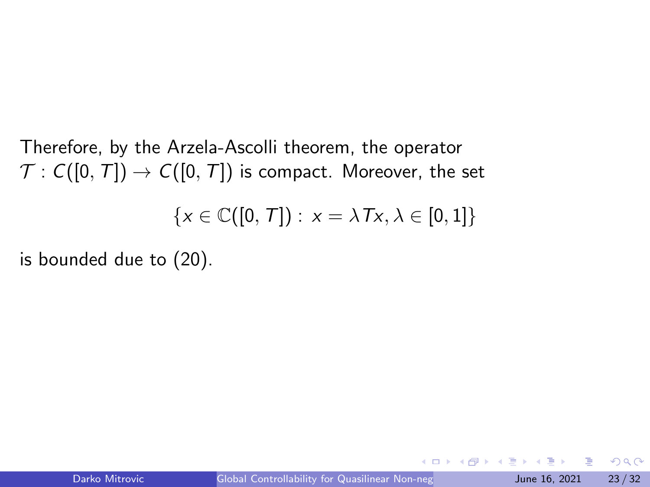Therefore, by the Arzela-Ascolli theorem, the operator  $\mathcal{T}: C([0,T]) \to C([0,T])$  is compact. Moreover, the set  $\{x \in \mathbb{C}([0, T]): x = \lambda Tx, \lambda \in [0, 1]\}\$ 

is bounded due to [\(20\)](#page-21-0).

э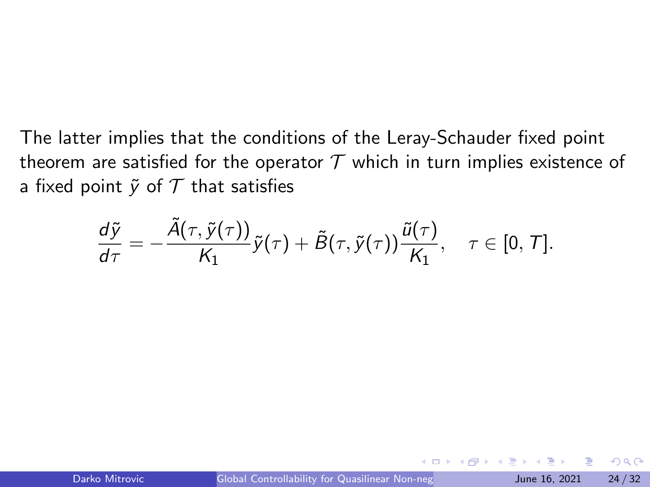The latter implies that the conditions of the Leray-Schauder fixed point theorem are satisfied for the operator  $T$  which in turn implies existence of a fixed point  $\tilde{v}$  of  $T$  that satisfies

$$
\frac{d\tilde{y}}{d\tau}=-\frac{\tilde{A}(\tau,\tilde{y}(\tau))}{K_1}\tilde{y}(\tau)+\tilde{B}(\tau,\tilde{y}(\tau))\frac{\tilde{u}(\tau)}{K_1}, \quad \tau\in[0,\, \mathcal{T}].
$$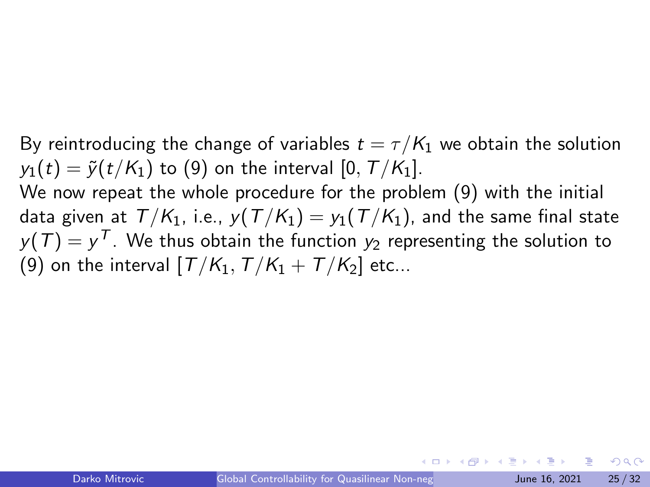By reintroducing the change of variables  $t = \tau/K_1$  we obtain the solution  $y_1(t) = \tilde{y}(t/K_1)$  to [\(9\)](#page-10-0) on the interval [0,  $T/K_1$ ]. We now repeat the whole procedure for the problem [\(9\)](#page-10-0) with the initial data given at  $T/K_1$ , i.e.,  $y(T/K_1) = y_1(T/K_1)$ , and the same final state  $y(\mathcal{T}) = y^{\mathcal{T}}.$  We thus obtain the function  $y_2$  representing the solution to [\(9\)](#page-10-0) on the interval  $[T/K_1, T/K_1 + T/K_2]$  etc...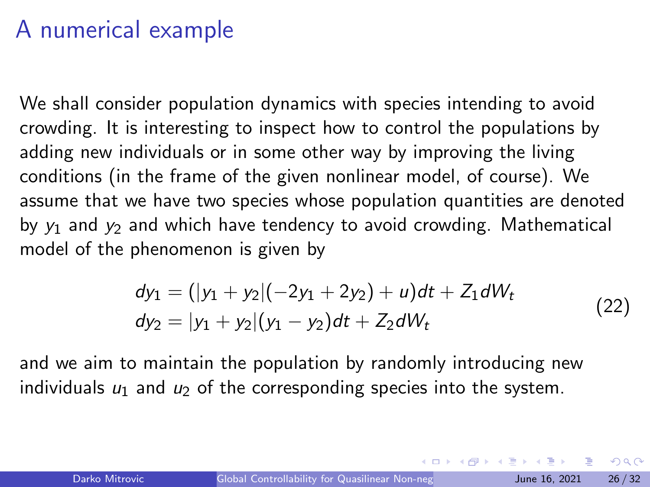#### A numerical example

We shall consider population dynamics with species intending to avoid crowding. It is interesting to inspect how to control the populations by adding new individuals or in some other way by improving the living conditions (in the frame of the given nonlinear model, of course). We assume that we have two species whose population quantities are denoted by  $y_1$  and  $y_2$  and which have tendency to avoid crowding. Mathematical model of the phenomenon is given by

$$
dy_1 = (|y_1 + y_2|(-2y_1 + 2y_2) + u)dt + Z_1 dW_t
$$
  
\n
$$
dy_2 = |y_1 + y_2| (y_1 - y_2) dt + Z_2 dW_t
$$
\n(22)

and we aim to maintain the population by randomly introducing new individuals  $u_1$  and  $u_2$  of the corresponding species into the system.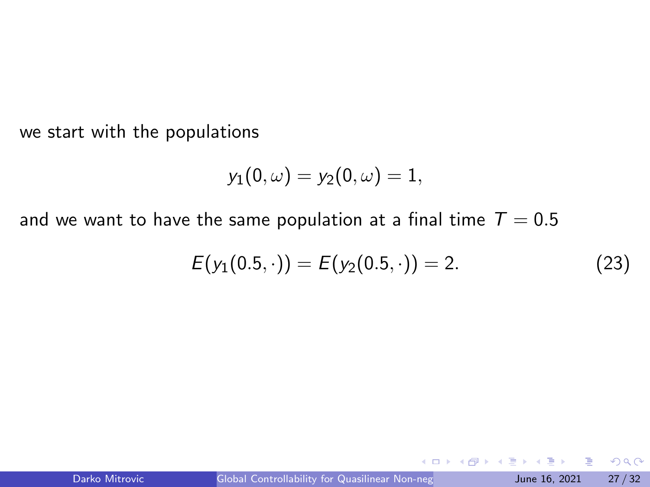we start with the populations

$$
y_1(0,\omega)=y_2(0,\omega)=1,
$$

and we want to have the same population at a final time  $T = 0.5$ 

$$
E(y_1(0.5,\cdot)) = E(y_2(0.5,\cdot)) = 2. \tag{23}
$$

 $\leftarrow$   $\Box$ 

э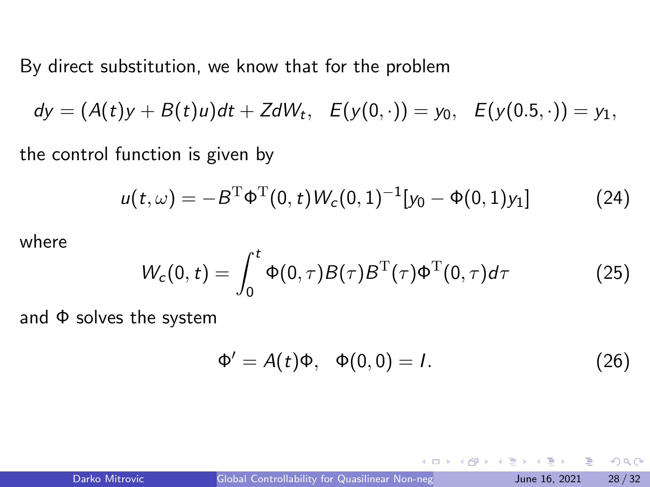By direct substitution, we know that for the problem

 $dy = (A(t)y + B(t)u)dt + ZdW_t, E(y(0, \cdot)) = y_0, E(y(0.5, \cdot)) = y_1,$ 

the control function is given by

<span id="page-27-0"></span>
$$
u(t,\omega) = -B^{\mathrm{T}} \Phi^{\mathrm{T}}(0,t) W_c(0,1)^{-1} [y_0 - \Phi(0,1) y_1]
$$
 (24)

where

$$
W_c(0,t) = \int_0^t \Phi(0,\tau)B(\tau)B^{\mathrm{T}}(\tau)\Phi^{\mathrm{T}}(0,\tau)d\tau
$$
 (25)

and  $\Phi$  solves the system

$$
\Phi' = A(t)\Phi, \quad \Phi(0,0) = I. \tag{26}
$$

G.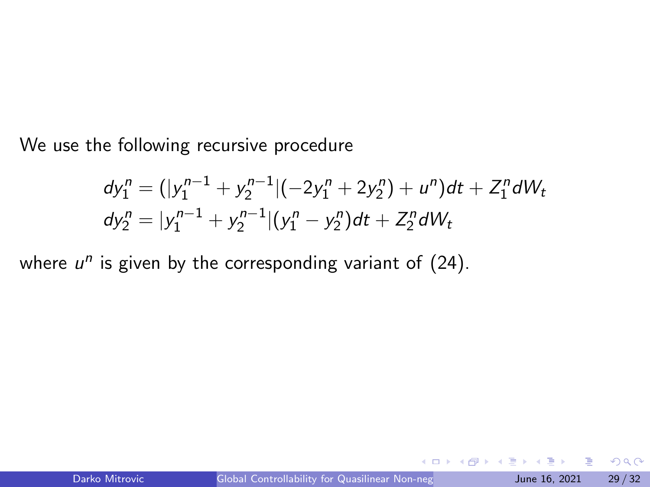<span id="page-28-0"></span>We use the following recursive procedure

$$
dy_1^n = (|y_1^{n-1} + y_2^{n-1}|(-2y_1^n + 2y_2^n) + u^n)dt + Z_1^n dW_t
$$
  
\n
$$
dy_2^n = |y_1^{n-1} + y_2^{n-1}|(y_1^n - y_2^n)dt + Z_2^n dW_t
$$

where  $u^n$  is given by the corresponding variant of  $(24)$ .

э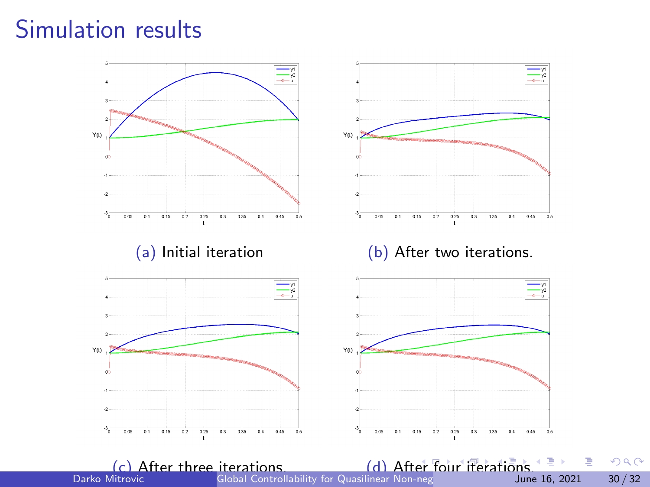### <span id="page-29-0"></span>Simulation results

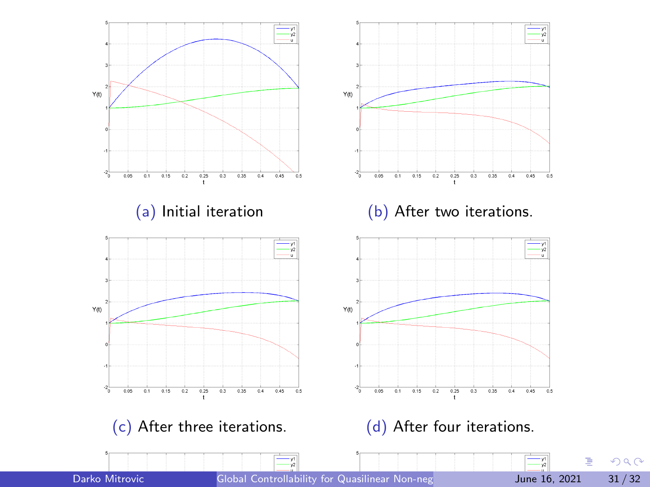<span id="page-30-0"></span>